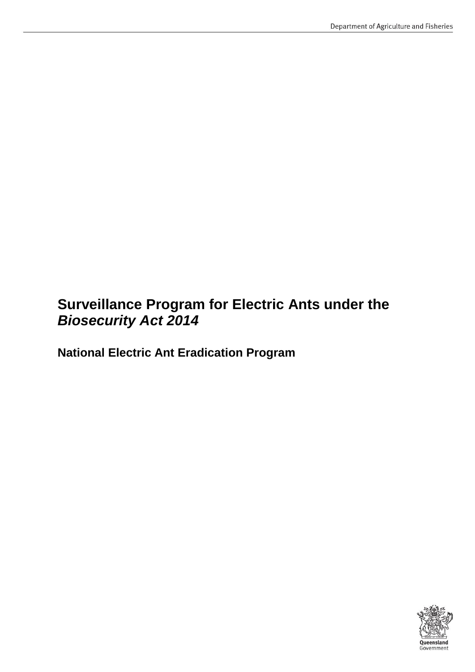# **Surveillance Program for Electric Ants under the**  *Biosecurity Act 2014*

**National Electric Ant Eradication Program**

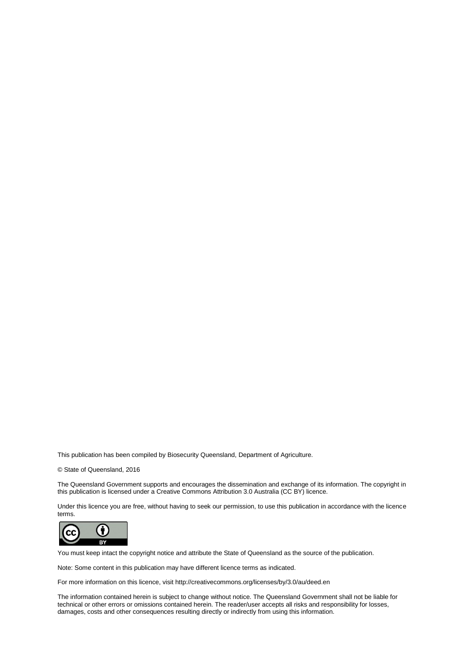This publication has been compiled by Biosecurity Queensland, Department of Agriculture.

© State of Queensland, 2016

The Queensland Government supports and encourages the dissemination and exchange of its information. The copyright in this publication is licensed under a Creative Commons Attribution 3.0 Australia (CC BY) licence.

Under this licence you are free, without having to seek our permission, to use this publication in accordance with the licence terms.



You must keep intact the copyright notice and attribute the State of Queensland as the source of the publication.

Note: Some content in this publication may have different licence terms as indicated.

For more information on this licence, visit http://creativecommons.org/licenses/by/3.0/au/deed.en

The information contained herein is subject to change without notice. The Queensland Government shall not be liable for technical or other errors or omissions contained herein. The reader/user accepts all risks and responsibility for losses, damages, costs and other consequences resulting directly or indirectly from using this information.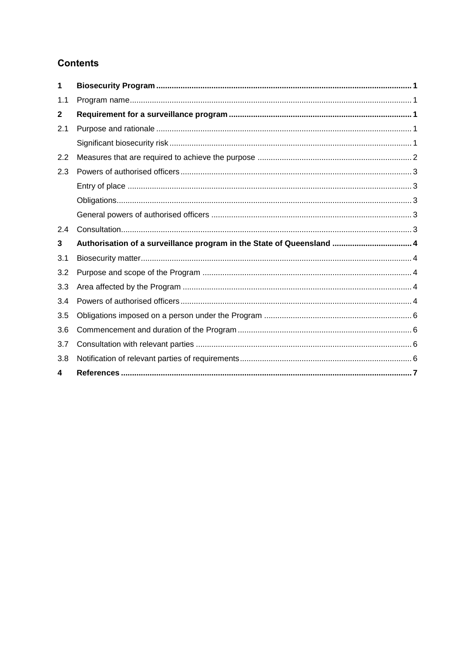### **Contents**

| 1   |                                                                       |  |
|-----|-----------------------------------------------------------------------|--|
| 1.1 |                                                                       |  |
| 2   |                                                                       |  |
| 2.1 |                                                                       |  |
|     |                                                                       |  |
| 2.2 |                                                                       |  |
| 2.3 |                                                                       |  |
|     |                                                                       |  |
|     |                                                                       |  |
|     |                                                                       |  |
| 2.4 |                                                                       |  |
| 3   | Authorisation of a surveillance program in the State of Queensland  4 |  |
| 3.1 |                                                                       |  |
| 3.2 |                                                                       |  |
| 3.3 |                                                                       |  |
| 3.4 |                                                                       |  |
| 3.5 |                                                                       |  |
| 3.6 |                                                                       |  |
| 3.7 |                                                                       |  |
| 3.8 |                                                                       |  |
| 4   |                                                                       |  |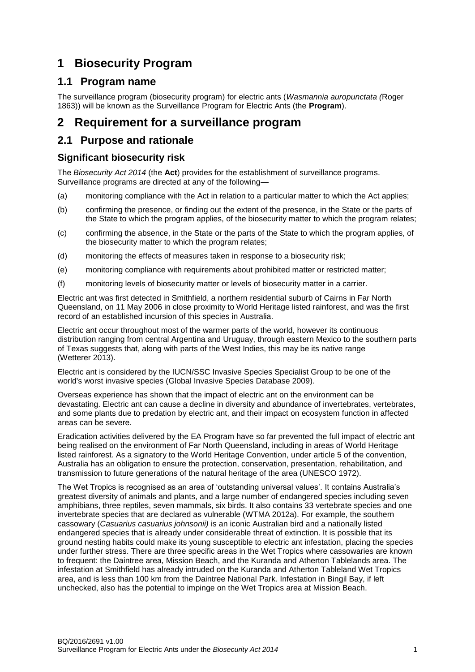# <span id="page-3-0"></span>**1 Biosecurity Program**

### <span id="page-3-1"></span>**1.1 Program name**

The surveillance program (biosecurity program) for electric ants (*Wasmannia auropunctata (*Roger 1863)) will be known as the Surveillance Program for Electric Ants (the **Program**).

### <span id="page-3-2"></span>**2 Requirement for a surveillance program**

### <span id="page-3-3"></span>**2.1 Purpose and rationale**

#### <span id="page-3-4"></span>**Significant biosecurity risk**

The *Biosecurity Act 2014* (the **Act**) provides for the establishment of surveillance programs. Surveillance programs are directed at any of the following—

- (a) monitoring compliance with the Act in relation to a particular matter to which the Act applies;
- (b) confirming the presence, or finding out the extent of the presence, in the State or the parts of the State to which the program applies, of the biosecurity matter to which the program relates;
- (c) confirming the absence, in the State or the parts of the State to which the program applies, of the biosecurity matter to which the program relates;
- (d) monitoring the effects of measures taken in response to a biosecurity risk;
- (e) monitoring compliance with requirements about prohibited matter or restricted matter;
- (f) monitoring levels of biosecurity matter or levels of biosecurity matter in a carrier.

Electric ant was first detected in Smithfield, a northern residential suburb of Cairns in Far North Queensland, on 11 May 2006 in close proximity to World Heritage listed rainforest, and was the first record of an established incursion of this species in Australia.

Electric ant occur throughout most of the warmer parts of the world, however its continuous distribution ranging from central Argentina and Uruguay, through eastern Mexico to the southern parts of Texas suggests that, along with parts of the West Indies, this may be its native range (Wetterer 2013).

Electric ant is considered by the IUCN/SSC Invasive Species Specialist Group to be one of the world's worst invasive species [\(Global Invasive Species Database 2009\)](http://www.issg.org/database/species/ecology.asp?si=58&fr=1&sts=sss&lang=EN).

Overseas experience has shown that the impact of electric ant on the environment can be devastating. Electric ant can cause a decline in diversity and abundance of invertebrates, vertebrates, and some plants due to predation by electric ant, and their impact on ecosystem function in affected areas can be severe.

Eradication activities delivered by the EA Program have so far prevented the full impact of electric ant being realised on the environment of Far North Queensland, including in areas of World Heritage listed rainforest. As a signatory to the World Heritage Convention, under article 5 of the convention, Australia has an obligation to ensure the protection, conservation, presentation, rehabilitation, and transmission to future generations of the natural heritage of the area (UNESCO 1972).

The Wet Tropics is recognised as an area of 'outstanding universal values'. It contains Australia's greatest diversity of animals and plants, and a large number of endangered species including seven amphibians, three reptiles, seven mammals, six birds. It also contains 33 vertebrate species and one invertebrate species that are declared as vulnerable (WTMA 2012a). For example, the southern cassowary (*Casuarius casuarius johnsonii)* is an iconic Australian bird and a nationally listed endangered species that is already under considerable threat of extinction. It is possible that its ground nesting habits could make its young susceptible to electric ant infestation, placing the species under further stress. There are three specific areas in the Wet Tropics where cassowaries are known to frequent: the Daintree area, Mission Beach, and the Kuranda and Atherton Tablelands area. The infestation at Smithfield has already intruded on the Kuranda and Atherton Tableland Wet Tropics area, and is less than 100 km from the Daintree National Park. Infestation in Bingil Bay, if left unchecked, also has the potential to impinge on the Wet Tropics area at Mission Beach.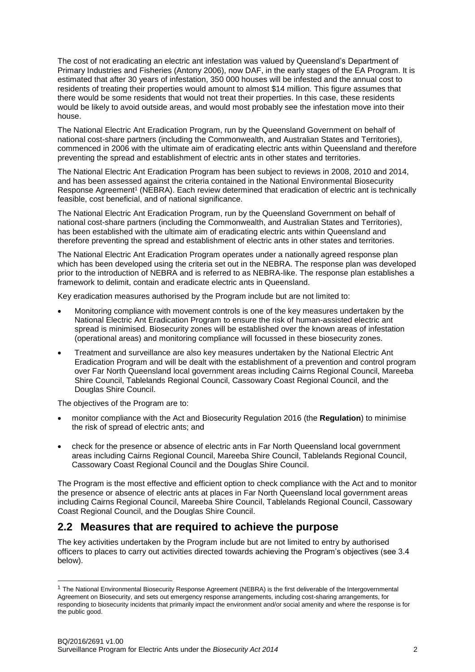The cost of not eradicating an electric ant infestation was valued by Queensland's Department of Primary Industries and Fisheries (Antony 2006), now DAF, in the early stages of the EA Program. It is estimated that after 30 years of infestation, 350 000 houses will be infested and the annual cost to residents of treating their properties would amount to almost \$14 million. This figure assumes that there would be some residents that would not treat their properties. In this case, these residents would be likely to avoid outside areas, and would most probably see the infestation move into their house.

The National Electric Ant Eradication Program, run by the Queensland Government on behalf of national cost-share partners (including the Commonwealth, and Australian States and Territories), commenced in 2006 with the ultimate aim of eradicating electric ants within Queensland and therefore preventing the spread and establishment of electric ants in other states and territories.

The National Electric Ant Eradication Program has been subject to reviews in 2008, 2010 and 2014, and has been assessed against the criteria contained in the National Environmental Biosecurity Response Agreement<sup>1</sup> (NEBRA). Each review determined that eradication of electric ant is technically feasible, cost beneficial, and of national significance.

The National Electric Ant Eradication Program, run by the Queensland Government on behalf of national cost-share partners (including the Commonwealth, and Australian States and Territories), has been established with the ultimate aim of eradicating electric ants within Queensland and therefore preventing the spread and establishment of electric ants in other states and territories.

The National Electric Ant Eradication Program operates under a nationally agreed response plan which has been developed using the criteria set out in the NEBRA. The response plan was developed prior to the introduction of NEBRA and is referred to as NEBRA-like. The response plan establishes a framework to delimit, contain and eradicate electric ants in Queensland.

Key eradication measures authorised by the Program include but are not limited to:

- Monitoring compliance with movement controls is one of the key measures undertaken by the National Electric Ant Eradication Program to ensure the risk of human-assisted electric ant spread is minimised. Biosecurity zones will be established over the known areas of infestation (operational areas) and monitoring compliance will focussed in these biosecurity zones.
- Treatment and surveillance are also key measures undertaken by the National Electric Ant Eradication Program and will be dealt with the establishment of a prevention and control program over Far North Queensland local government areas including Cairns Regional Council, Mareeba Shire Council, Tablelands Regional Council, Cassowary Coast Regional Council, and the Douglas Shire Council.

The objectives of the Program are to:

l

- monitor compliance with the Act and Biosecurity Regulation 2016 (the **Regulation**) to minimise the risk of spread of electric ants; and
- check for the presence or absence of electric ants in Far North Queensland local government areas including Cairns Regional Council, Mareeba Shire Council, Tablelands Regional Council, Cassowary Coast Regional Council and the Douglas Shire Council.

The Program is the most effective and efficient option to check compliance with the Act and to monitor the presence or absence of electric ants at places in Far North Queensland local government areas including Cairns Regional Council, Mareeba Shire Council, Tablelands Regional Council, Cassowary Coast Regional Council, and the Douglas Shire Council.

### <span id="page-4-0"></span>**2.2 Measures that are required to achieve the purpose**

The key activities undertaken by the Program include but are not limited to entry by authorised officers to places to carry out activities directed towards achieving the Program's objectives (see 3.4 below).

 $1$  The National Environmental Biosecurity Response Agreement (NEBRA) is the first deliverable of the Intergovernmental Agreement on Biosecurity, and sets out emergency response arrangements, including cost-sharing arrangements, for responding to biosecurity incidents that primarily impact the environment and/or social amenity and where the response is for the public good.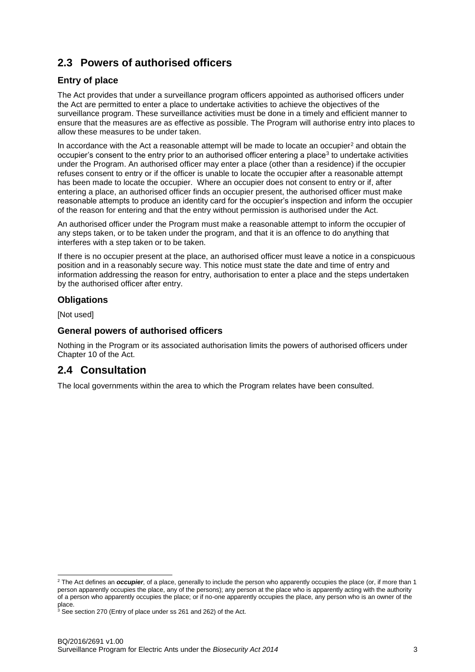# <span id="page-5-0"></span>**2.3 Powers of authorised officers**

#### <span id="page-5-1"></span>**Entry of place**

The Act provides that under a surveillance program officers appointed as authorised officers under the Act are permitted to enter a place to undertake activities to achieve the objectives of the surveillance program. These surveillance activities must be done in a timely and efficient manner to ensure that the measures are as effective as possible. The Program will authorise entry into places to allow these measures to be under taken.

In accordance with the Act a reasonable attempt will be made to locate an occupier<sup>2</sup> and obtain the occupier's consent to the entry prior to an authorised officer entering a place<sup>3</sup> to undertake activities under the Program. An authorised officer may enter a place (other than a residence) if the occupier refuses consent to entry or if the officer is unable to locate the occupier after a reasonable attempt has been made to locate the occupier. Where an occupier does not consent to entry or if, after entering a place, an authorised officer finds an occupier present, the authorised officer must make reasonable attempts to produce an identity card for the occupier's inspection and inform the occupier of the reason for entering and that the entry without permission is authorised under the Act.

An authorised officer under the Program must make a reasonable attempt to inform the occupier of any steps taken, or to be taken under the program, and that it is an offence to do anything that interferes with a step taken or to be taken.

If there is no occupier present at the place, an authorised officer must leave a notice in a conspicuous position and in a reasonably secure way. This notice must state the date and time of entry and information addressing the reason for entry, authorisation to enter a place and the steps undertaken by the authorised officer after entry.

#### <span id="page-5-2"></span>**Obligations**

[Not used]

l

#### <span id="page-5-3"></span>**General powers of authorised officers**

Nothing in the Program or its associated authorisation limits the powers of authorised officers under Chapter 10 of the Act.

### <span id="page-5-4"></span>**2.4 Consultation**

The local governments within the area to which the Program relates have been consulted.

<sup>2</sup> The Act defines an *occupier*, of a place, generally to include the person who apparently occupies the place (or, if more than 1 person apparently occupies the place, any of the persons); any person at the place who is apparently acting with the authority of a person who apparently occupies the place; or if no-one apparently occupies the place, any person who is an owner of the place.

 $3$  See section 270 (Entry of place under ss 261 and 262) of the Act.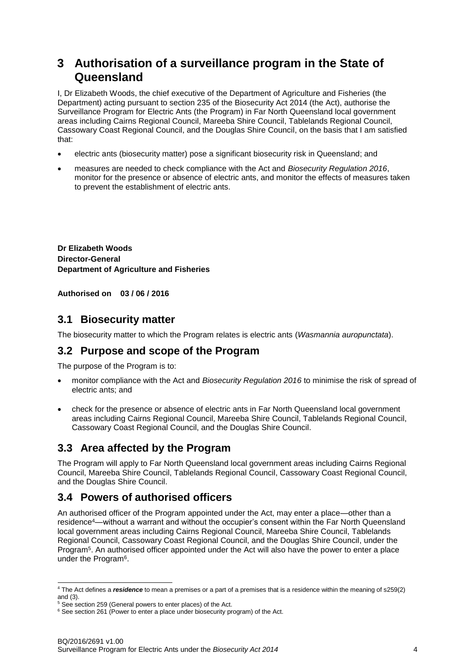# <span id="page-6-0"></span>**3 Authorisation of a surveillance program in the State of Queensland**

I, Dr Elizabeth Woods, the chief executive of the Department of Agriculture and Fisheries (the Department) acting pursuant to section 235 of the Biosecurity Act 2014 (the Act), authorise the Surveillance Program for Electric Ants (the Program) in Far North Queensland local government areas including Cairns Regional Council, Mareeba Shire Council, Tablelands Regional Council, Cassowary Coast Regional Council, and the Douglas Shire Council, on the basis that I am satisfied that:

- electric ants (biosecurity matter) pose a significant biosecurity risk in Queensland; and
- measures are needed to check compliance with the Act and *Biosecurity Regulation 2016*, monitor for the presence or absence of electric ants, and monitor the effects of measures taken to prevent the establishment of electric ants.

**Dr Elizabeth Woods Director-General Department of Agriculture and Fisheries**

**Authorised on 03 / 06 / 2016**

#### <span id="page-6-1"></span>**3.1 Biosecurity matter**

The biosecurity matter to which the Program relates is electric ants (*Wasmannia auropunctata*).

### <span id="page-6-2"></span>**3.2 Purpose and scope of the Program**

The purpose of the Program is to:

- monitor compliance with the Act and *Biosecurity Regulation 2016* to minimise the risk of spread of electric ants; and
- check for the presence or absence of electric ants in Far North Queensland local government areas including Cairns Regional Council, Mareeba Shire Council, Tablelands Regional Council, Cassowary Coast Regional Council, and the Douglas Shire Council.

### <span id="page-6-3"></span>**3.3 Area affected by the Program**

The Program will apply to Far North Queensland local government areas including Cairns Regional Council, Mareeba Shire Council, Tablelands Regional Council, Cassowary Coast Regional Council, and the Douglas Shire Council.

### <span id="page-6-4"></span>**3.4 Powers of authorised officers**

An authorised officer of the Program appointed under the Act, may enter a place—other than a residence<sup>4</sup>—without a warrant and without the occupier's consent within the Far North Queensland local government areas including Cairns Regional Council, Mareeba Shire Council, Tablelands Regional Council, Cassowary Coast Regional Council, and the Douglas Shire Council, under the Program<sup>5</sup>. An authorised officer appointed under the Act will also have the power to enter a place under the Program<sup>6</sup>.

l <sup>4</sup> The Act defines a *residence* to mean a premises or a part of a premises that is a residence within the meaning of s259(2) and (3).

 $5$  See section 259 (General powers to enter places) of the Act.

<sup>&</sup>lt;sup>6</sup> See section 261 (Power to enter a place under biosecurity program) of the Act.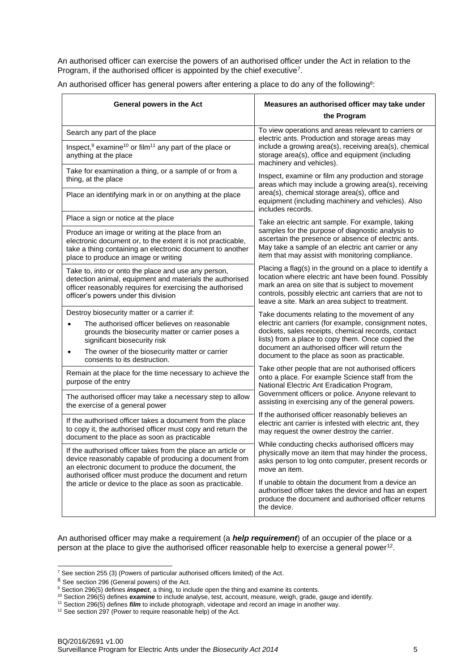An authorised officer can exercise the powers of an authorised officer under the Act in relation to the Program, if the authorised officer is appointed by the chief executive<sup>7</sup>.

| An authorised officer has general powers after entering a place to do any of the following <sup>8</sup> : |  |  |  |
|-----------------------------------------------------------------------------------------------------------|--|--|--|
|                                                                                                           |  |  |  |

| General powers in the Act                                                                                                                                                                                             | Measures an authorised officer may take under                                                                                                                                                                                                                                                                                                                                                                                                                                                                                                                    |  |  |  |
|-----------------------------------------------------------------------------------------------------------------------------------------------------------------------------------------------------------------------|------------------------------------------------------------------------------------------------------------------------------------------------------------------------------------------------------------------------------------------------------------------------------------------------------------------------------------------------------------------------------------------------------------------------------------------------------------------------------------------------------------------------------------------------------------------|--|--|--|
|                                                                                                                                                                                                                       | the Program                                                                                                                                                                                                                                                                                                                                                                                                                                                                                                                                                      |  |  |  |
| Search any part of the place                                                                                                                                                                                          | To view operations and areas relevant to carriers or<br>electric ants. Production and storage areas may                                                                                                                                                                                                                                                                                                                                                                                                                                                          |  |  |  |
| Inspect, $9$ examine <sup>10</sup> or film <sup>11</sup> any part of the place or<br>anything at the place                                                                                                            | include a growing area(s), receiving area(s), chemical<br>storage area(s), office and equipment (including<br>machinery and vehicles).                                                                                                                                                                                                                                                                                                                                                                                                                           |  |  |  |
| Take for examination a thing, or a sample of or from a<br>thing, at the place                                                                                                                                         | Inspect, examine or film any production and storage<br>areas which may include a growing area(s), receiving                                                                                                                                                                                                                                                                                                                                                                                                                                                      |  |  |  |
| Place an identifying mark in or on anything at the place                                                                                                                                                              | area(s), chemical storage area(s), office and<br>equipment (including machinery and vehicles). Also<br>includes records.                                                                                                                                                                                                                                                                                                                                                                                                                                         |  |  |  |
| Place a sign or notice at the place                                                                                                                                                                                   | Take an electric ant sample. For example, taking<br>samples for the purpose of diagnostic analysis to<br>ascertain the presence or absence of electric ants.<br>May take a sample of an electric ant carrier or any<br>item that may assist with monitoring compliance.<br>Placing a flag(s) in the ground on a place to identify a<br>location where electric ant have been found. Possibly<br>mark an area on site that is subject to movement<br>controls, possibly electric ant carriers that are not to<br>leave a site. Mark an area subject to treatment. |  |  |  |
| Produce an image or writing at the place from an<br>electronic document or, to the extent it is not practicable,<br>take a thing containing an electronic document to another<br>place to produce an image or writing |                                                                                                                                                                                                                                                                                                                                                                                                                                                                                                                                                                  |  |  |  |
| Take to, into or onto the place and use any person,<br>detection animal, equipment and materials the authorised<br>officer reasonably requires for exercising the authorised<br>officer's powers under this division  |                                                                                                                                                                                                                                                                                                                                                                                                                                                                                                                                                                  |  |  |  |
| Destroy biosecurity matter or a carrier if:                                                                                                                                                                           | Take documents relating to the movement of any                                                                                                                                                                                                                                                                                                                                                                                                                                                                                                                   |  |  |  |
| The authorised officer believes on reasonable<br>grounds the biosecurity matter or carrier poses a<br>significant biosecurity risk                                                                                    | electric ant carriers (for example, consignment notes,<br>dockets, sales receipts, chemical records, contact<br>lists) from a place to copy them. Once copied the                                                                                                                                                                                                                                                                                                                                                                                                |  |  |  |
| The owner of the biosecurity matter or carrier<br>consents to its destruction.                                                                                                                                        | document an authorised officer will return the<br>document to the place as soon as practicable.                                                                                                                                                                                                                                                                                                                                                                                                                                                                  |  |  |  |
| Remain at the place for the time necessary to achieve the<br>purpose of the entry                                                                                                                                     | Take other people that are not authorised officers<br>onto a place. For example Science staff from the<br>National Electric Ant Eradication Program,                                                                                                                                                                                                                                                                                                                                                                                                             |  |  |  |
| The authorised officer may take a necessary step to allow<br>the exercise of a general power                                                                                                                          | Government officers or police. Anyone relevant to<br>assisting in exercising any of the general powers.                                                                                                                                                                                                                                                                                                                                                                                                                                                          |  |  |  |
| If the authorised officer takes a document from the place<br>to copy it, the authorised officer must copy and return the<br>document to the place as soon as practicable                                              | If the authorised officer reasonably believes an<br>electric ant carrier is infested with electric ant, they<br>may request the owner destroy the carrier.                                                                                                                                                                                                                                                                                                                                                                                                       |  |  |  |
| If the authorised officer takes from the place an article or<br>device reasonably capable of producing a document from<br>an electronic document to produce the document, the                                         | While conducting checks authorised officers may<br>physically move an item that may hinder the process,<br>asks person to log onto computer, present records or<br>move an item.                                                                                                                                                                                                                                                                                                                                                                                 |  |  |  |
| authorised officer must produce the document and return<br>the article or device to the place as soon as practicable.                                                                                                 | If unable to obtain the document from a device an<br>authorised officer takes the device and has an expert<br>produce the document and authorised officer returns<br>the device.                                                                                                                                                                                                                                                                                                                                                                                 |  |  |  |

An authorised officer may make a requirement (a *help requirement*) of an occupier of the place or a person at the place to give the authorised officer reasonable help to exercise a general power<sup>12</sup>.

l

 $7$  See section 255 (3) (Powers of particular authorised officers limited) of the Act.

<sup>8</sup> See section 296 (General powers) of the Act.

<sup>9</sup> Section 296(5) defines *inspect*, a thing, to include open the thing and examine its contents.

<sup>10</sup> Section 296(5) defines *examine* to include analyse, test, account, measure, weigh, grade, gauge and identify.

<sup>11</sup> Section 296(5) defines *film* to include photograph, videotape and record an image in another way.

<sup>12</sup> See section 297 (Power to require reasonable help) of the Act.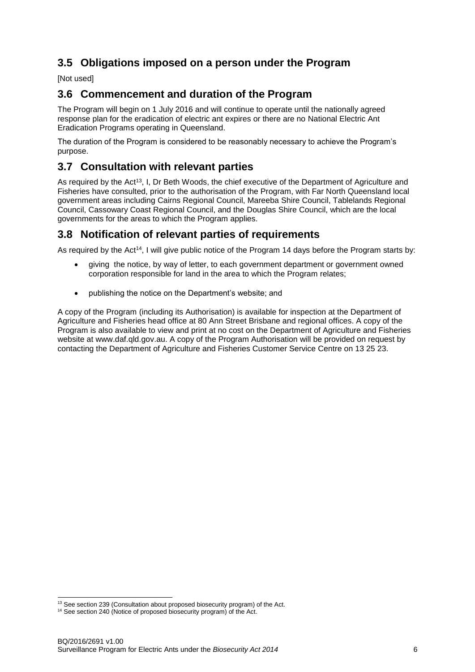## <span id="page-8-0"></span>**3.5 Obligations imposed on a person under the Program**

[Not used]

### <span id="page-8-1"></span>**3.6 Commencement and duration of the Program**

The Program will begin on 1 July 2016 and will continue to operate until the nationally agreed response plan for the eradication of electric ant expires or there are no National Electric Ant Eradication Programs operating in Queensland.

The duration of the Program is considered to be reasonably necessary to achieve the Program's purpose.

### <span id="page-8-2"></span>**3.7 Consultation with relevant parties**

As required by the Act<sup>13</sup>, I, Dr Beth Woods, the chief executive of the Department of Agriculture and Fisheries have consulted, prior to the authorisation of the Program, with Far North Queensland local government areas including Cairns Regional Council, Mareeba Shire Council, Tablelands Regional Council, Cassowary Coast Regional Council, and the Douglas Shire Council, which are the local governments for the areas to which the Program applies.

#### <span id="page-8-3"></span>**3.8 Notification of relevant parties of requirements**

As required by the Act<sup>14</sup>, I will give public notice of the Program 14 days before the Program starts by:

- giving the notice, by way of letter, to each government department or government owned corporation responsible for land in the area to which the Program relates;
- publishing the notice on the Department's website; and

A copy of the Program (including its Authorisation) is available for inspection at the Department of Agriculture and Fisheries head office at 80 Ann Street Brisbane and regional offices. A copy of the Program is also available to view and print at no cost on the Department of Agriculture and Fisheries website at www.daf.qld.gov.au. A copy of the Program Authorisation will be provided on request by contacting the Department of Agriculture and Fisheries Customer Service Centre on 13 25 23.

l <sup>13</sup> See section 239 (Consultation about proposed biosecurity program) of the Act.

<sup>&</sup>lt;sup>14</sup> See section 240 (Notice of proposed biosecurity program) of the Act.